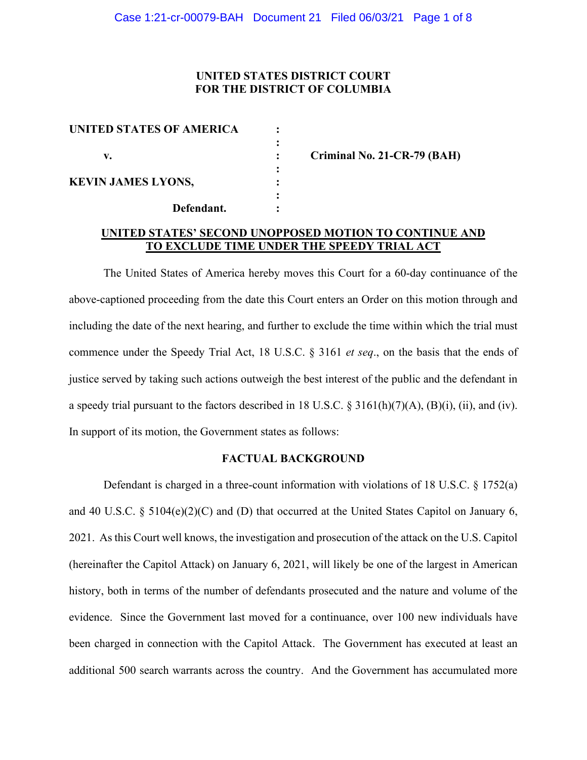# **UNITED STATES DISTRICT COURT FOR THE DISTRICT OF COLUMBIA**

| <b>UNITED STATES OF AMERICA</b> |  |
|---------------------------------|--|
| v.                              |  |
| <b>KEVIN JAMES LYONS,</b>       |  |
| Defendant.                      |  |

**v. : Criminal No. 21-CR-79 (BAH)**

# **UNITED STATES' SECOND UNOPPOSED MOTION TO CONTINUE AND TO EXCLUDE TIME UNDER THE SPEEDY TRIAL ACT**

The United States of America hereby moves this Court for a 60-day continuance of the above-captioned proceeding from the date this Court enters an Order on this motion through and including the date of the next hearing, and further to exclude the time within which the trial must commence under the Speedy Trial Act, 18 U.S.C. § 3161 *et seq*., on the basis that the ends of justice served by taking such actions outweigh the best interest of the public and the defendant in a speedy trial pursuant to the factors described in 18 U.S.C. § 3161(h)(7)(A), (B)(i), (ii), and (iv). In support of its motion, the Government states as follows:

#### **FACTUAL BACKGROUND**

Defendant is charged in a three-count information with violations of 18 U.S.C. § 1752(a) and 40 U.S.C. § 5104 $(e)(2)(C)$  and  $(D)$  that occurred at the United States Capitol on January 6, 2021. As this Court well knows, the investigation and prosecution of the attack on the U.S. Capitol (hereinafter the Capitol Attack) on January 6, 2021, will likely be one of the largest in American history, both in terms of the number of defendants prosecuted and the nature and volume of the evidence. Since the Government last moved for a continuance, over 100 new individuals have been charged in connection with the Capitol Attack. The Government has executed at least an additional 500 search warrants across the country. And the Government has accumulated more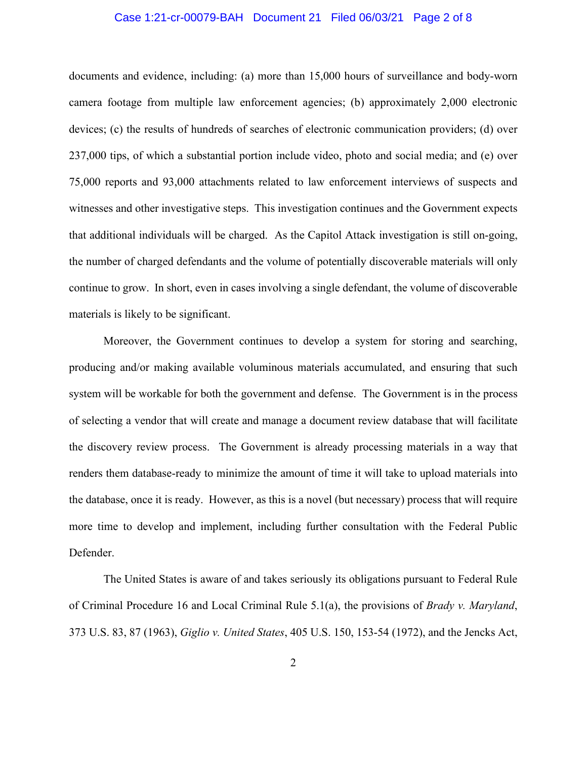### Case 1:21-cr-00079-BAH Document 21 Filed 06/03/21 Page 2 of 8

documents and evidence, including: (a) more than 15,000 hours of surveillance and body-worn camera footage from multiple law enforcement agencies; (b) approximately 2,000 electronic devices; (c) the results of hundreds of searches of electronic communication providers; (d) over 237,000 tips, of which a substantial portion include video, photo and social media; and (e) over 75,000 reports and 93,000 attachments related to law enforcement interviews of suspects and witnesses and other investigative steps. This investigation continues and the Government expects that additional individuals will be charged. As the Capitol Attack investigation is still on-going, the number of charged defendants and the volume of potentially discoverable materials will only continue to grow. In short, even in cases involving a single defendant, the volume of discoverable materials is likely to be significant.

Moreover, the Government continues to develop a system for storing and searching, producing and/or making available voluminous materials accumulated, and ensuring that such system will be workable for both the government and defense. The Government is in the process of selecting a vendor that will create and manage a document review database that will facilitate the discovery review process. The Government is already processing materials in a way that renders them database-ready to minimize the amount of time it will take to upload materials into the database, once it is ready. However, as this is a novel (but necessary) process that will require more time to develop and implement, including further consultation with the Federal Public Defender.

The United States is aware of and takes seriously its obligations pursuant to Federal Rule of Criminal Procedure 16 and Local Criminal Rule 5.1(a), the provisions of *Brady v. Maryland*, 373 U.S. 83, 87 (1963), *Giglio v. United States*, 405 U.S. 150, 153-54 (1972), and the Jencks Act,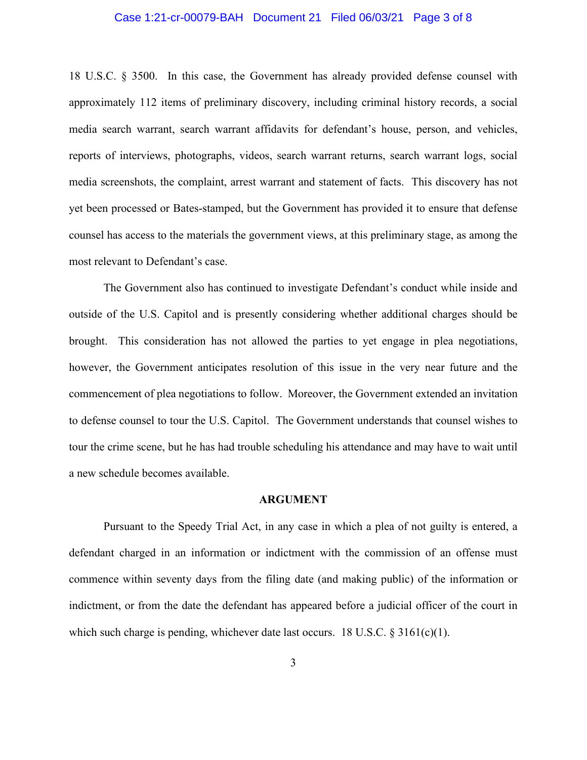### Case 1:21-cr-00079-BAH Document 21 Filed 06/03/21 Page 3 of 8

18 U.S.C. § 3500. In this case, the Government has already provided defense counsel with approximately 112 items of preliminary discovery, including criminal history records, a social media search warrant, search warrant affidavits for defendant's house, person, and vehicles, reports of interviews, photographs, videos, search warrant returns, search warrant logs, social media screenshots, the complaint, arrest warrant and statement of facts. This discovery has not yet been processed or Bates-stamped, but the Government has provided it to ensure that defense counsel has access to the materials the government views, at this preliminary stage, as among the most relevant to Defendant's case.

The Government also has continued to investigate Defendant's conduct while inside and outside of the U.S. Capitol and is presently considering whether additional charges should be brought. This consideration has not allowed the parties to yet engage in plea negotiations, however, the Government anticipates resolution of this issue in the very near future and the commencement of plea negotiations to follow. Moreover, the Government extended an invitation to defense counsel to tour the U.S. Capitol. The Government understands that counsel wishes to tour the crime scene, but he has had trouble scheduling his attendance and may have to wait until a new schedule becomes available.

#### **ARGUMENT**

Pursuant to the Speedy Trial Act, in any case in which a plea of not guilty is entered, a defendant charged in an information or indictment with the commission of an offense must commence within seventy days from the filing date (and making public) of the information or indictment, or from the date the defendant has appeared before a judicial officer of the court in which such charge is pending, whichever date last occurs. 18 U.S.C.  $\S 3161(c)(1)$ .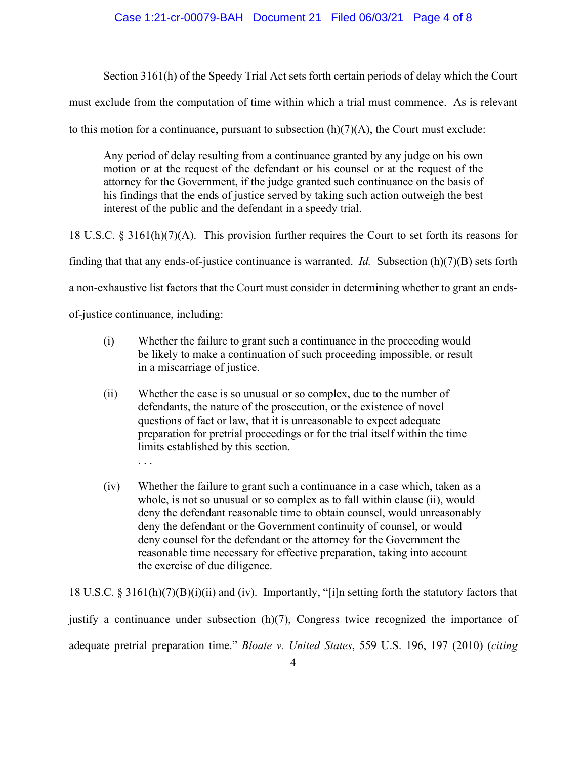## Case 1:21-cr-00079-BAH Document 21 Filed 06/03/21 Page 4 of 8

Section 3161(h) of the Speedy Trial Act sets forth certain periods of delay which the Court

must exclude from the computation of time within which a trial must commence. As is relevant

to this motion for a continuance, pursuant to subsection  $(h)(7)(A)$ , the Court must exclude:

Any period of delay resulting from a continuance granted by any judge on his own motion or at the request of the defendant or his counsel or at the request of the attorney for the Government, if the judge granted such continuance on the basis of his findings that the ends of justice served by taking such action outweigh the best interest of the public and the defendant in a speedy trial.

18 U.S.C. § 3161(h)(7)(A). This provision further requires the Court to set forth its reasons for finding that that any ends-of-justice continuance is warranted. *Id.* Subsection (h)(7)(B) sets forth a non-exhaustive list factors that the Court must consider in determining whether to grant an endsof-justice continuance, including:

- (i) Whether the failure to grant such a continuance in the proceeding would be likely to make a continuation of such proceeding impossible, or result in a miscarriage of justice.
- (ii) Whether the case is so unusual or so complex, due to the number of defendants, the nature of the prosecution, or the existence of novel questions of fact or law, that it is unreasonable to expect adequate preparation for pretrial proceedings or for the trial itself within the time limits established by this section. . . .
- (iv) Whether the failure to grant such a continuance in a case which, taken as a whole, is not so unusual or so complex as to fall within clause (ii), would deny the defendant reasonable time to obtain counsel, would unreasonably deny the defendant or the Government continuity of counsel, or would deny counsel for the defendant or the attorney for the Government the reasonable time necessary for effective preparation, taking into account the exercise of due diligence.

18 U.S.C. § 3161(h)(7)(B)(i)(ii) and (iv). Importantly, "[i]n setting forth the statutory factors that justify a continuance under subsection (h)(7), Congress twice recognized the importance of adequate pretrial preparation time." *Bloate v. United States*, 559 U.S. 196, 197 (2010) (*citing*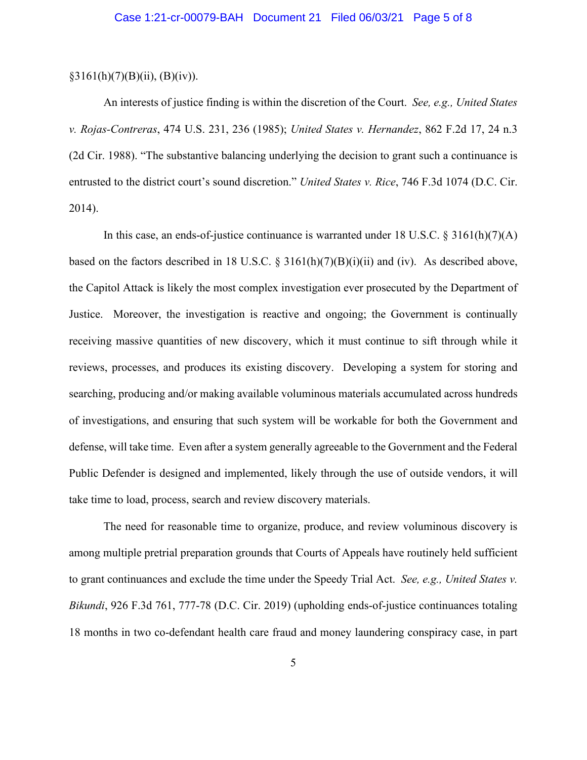### $§3161(h)(7)(B)(ii), (B)(iv)).$

An interests of justice finding is within the discretion of the Court. *See, e.g., United States v. Rojas-Contreras*, 474 U.S. 231, 236 (1985); *United States v. Hernandez*, 862 F.2d 17, 24 n.3 (2d Cir. 1988). "The substantive balancing underlying the decision to grant such a continuance is entrusted to the district court's sound discretion." *United States v. Rice*, 746 F.3d 1074 (D.C. Cir. 2014).

In this case, an ends-of-justice continuance is warranted under 18 U.S.C. § 3161(h)(7)(A) based on the factors described in 18 U.S.C.  $\S$  3161(h)(7)(B)(i)(ii) and (iv). As described above, the Capitol Attack is likely the most complex investigation ever prosecuted by the Department of Justice. Moreover, the investigation is reactive and ongoing; the Government is continually receiving massive quantities of new discovery, which it must continue to sift through while it reviews, processes, and produces its existing discovery. Developing a system for storing and searching, producing and/or making available voluminous materials accumulated across hundreds of investigations, and ensuring that such system will be workable for both the Government and defense, will take time. Even after a system generally agreeable to the Government and the Federal Public Defender is designed and implemented, likely through the use of outside vendors, it will take time to load, process, search and review discovery materials.

The need for reasonable time to organize, produce, and review voluminous discovery is among multiple pretrial preparation grounds that Courts of Appeals have routinely held sufficient to grant continuances and exclude the time under the Speedy Trial Act. *See, e.g., United States v. Bikundi*, 926 F.3d 761, 777-78 (D.C. Cir. 2019) (upholding ends-of-justice continuances totaling 18 months in two co-defendant health care fraud and money laundering conspiracy case, in part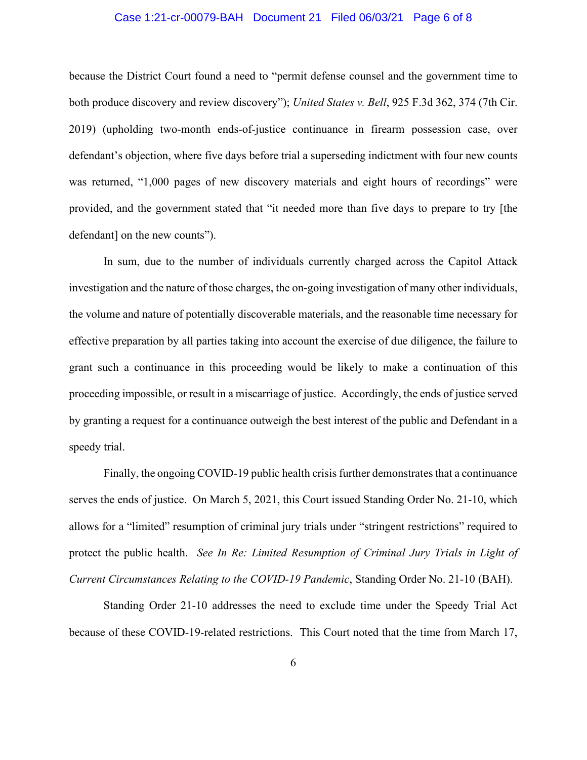### Case 1:21-cr-00079-BAH Document 21 Filed 06/03/21 Page 6 of 8

because the District Court found a need to "permit defense counsel and the government time to both produce discovery and review discovery"); *United States v. Bell*, 925 F.3d 362, 374 (7th Cir. 2019) (upholding two-month ends-of-justice continuance in firearm possession case, over defendant's objection, where five days before trial a superseding indictment with four new counts was returned, "1,000 pages of new discovery materials and eight hours of recordings" were provided, and the government stated that "it needed more than five days to prepare to try [the defendant] on the new counts").

In sum, due to the number of individuals currently charged across the Capitol Attack investigation and the nature of those charges, the on-going investigation of many other individuals, the volume and nature of potentially discoverable materials, and the reasonable time necessary for effective preparation by all parties taking into account the exercise of due diligence, the failure to grant such a continuance in this proceeding would be likely to make a continuation of this proceeding impossible, or result in a miscarriage of justice. Accordingly, the ends of justice served by granting a request for a continuance outweigh the best interest of the public and Defendant in a speedy trial.

Finally, the ongoing COVID-19 public health crisis further demonstrates that a continuance serves the ends of justice. On March 5, 2021, this Court issued Standing Order No. 21-10, which allows for a "limited" resumption of criminal jury trials under "stringent restrictions" required to protect the public health. *See In Re: Limited Resumption of Criminal Jury Trials in Light of Current Circumstances Relating to the COVID-19 Pandemic*, Standing Order No. 21-10 (BAH).

Standing Order 21-10 addresses the need to exclude time under the Speedy Trial Act because of these COVID-19-related restrictions. This Court noted that the time from March 17,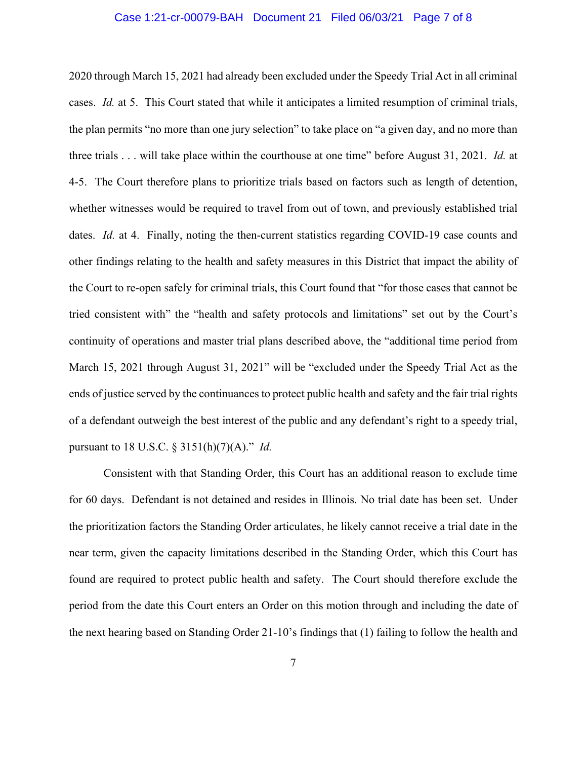### Case 1:21-cr-00079-BAH Document 21 Filed 06/03/21 Page 7 of 8

2020 through March 15, 2021 had already been excluded under the Speedy Trial Act in all criminal cases. *Id.* at 5. This Court stated that while it anticipates a limited resumption of criminal trials, the plan permits "no more than one jury selection" to take place on "a given day, and no more than three trials . . . will take place within the courthouse at one time" before August 31, 2021. *Id.* at 4-5. The Court therefore plans to prioritize trials based on factors such as length of detention, whether witnesses would be required to travel from out of town, and previously established trial dates. *Id.* at 4. Finally, noting the then-current statistics regarding COVID-19 case counts and other findings relating to the health and safety measures in this District that impact the ability of the Court to re-open safely for criminal trials, this Court found that "for those cases that cannot be tried consistent with" the "health and safety protocols and limitations" set out by the Court's continuity of operations and master trial plans described above, the "additional time period from March 15, 2021 through August 31, 2021" will be "excluded under the Speedy Trial Act as the ends of justice served by the continuances to protect public health and safety and the fair trial rights of a defendant outweigh the best interest of the public and any defendant's right to a speedy trial, pursuant to 18 U.S.C. § 3151(h)(7)(A)." *Id.*

Consistent with that Standing Order, this Court has an additional reason to exclude time for 60 days. Defendant is not detained and resides in Illinois. No trial date has been set. Under the prioritization factors the Standing Order articulates, he likely cannot receive a trial date in the near term, given the capacity limitations described in the Standing Order, which this Court has found are required to protect public health and safety. The Court should therefore exclude the period from the date this Court enters an Order on this motion through and including the date of the next hearing based on Standing Order 21-10's findings that (1) failing to follow the health and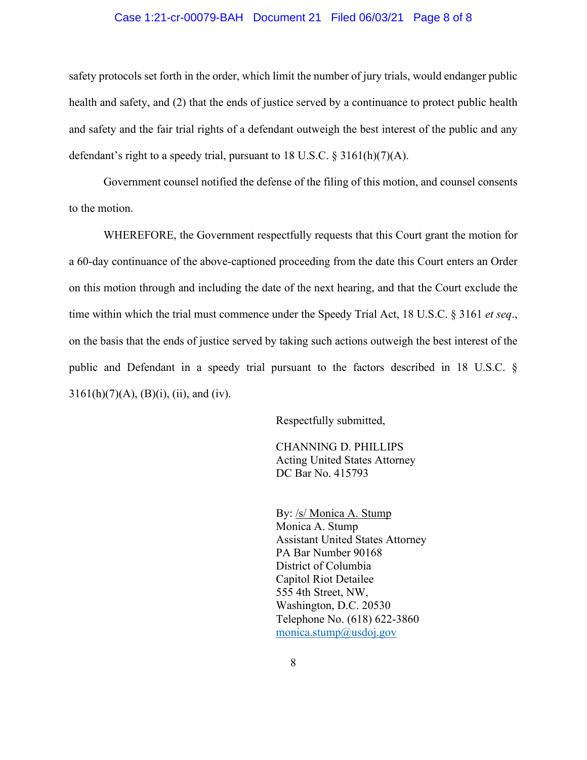### Case 1:21-cr-00079-BAH Document 21 Filed 06/03/21 Page 8 of 8

safety protocols set forth in the order, which limit the number of jury trials, would endanger public health and safety, and (2) that the ends of justice served by a continuance to protect public health and safety and the fair trial rights of a defendant outweigh the best interest of the public and any defendant's right to a speedy trial, pursuant to 18 U.S.C. § 3161(h)(7)(A).

Government counsel notified the defense of the filing of this motion, and counsel consents to the motion.

WHEREFORE, the Government respectfully requests that this Court grant the motion for a 60-day continuance of the above-captioned proceeding from the date this Court enters an Order on this motion through and including the date of the next hearing, and that the Court exclude the time within which the trial must commence under the Speedy Trial Act, 18 U.S.C. § 3161 *et seq*., on the basis that the ends of justice served by taking such actions outweigh the best interest of the public and Defendant in a speedy trial pursuant to the factors described in 18 U.S.C. §  $3161(h)(7)(A), (B)(i), (ii), and (iv).$ 

Respectfully submitted,

CHANNING D. PHILLIPS Acting United States Attorney DC Bar No. 415793

By: /s/ Monica A. Stump Monica A. Stump Assistant United States Attorney PA Bar Number 90168 District of Columbia Capitol Riot Detailee 555 4th Street, NW, Washington, D.C. 20530 Telephone No. (618) 622-3860 monica.stump@usdoj.gov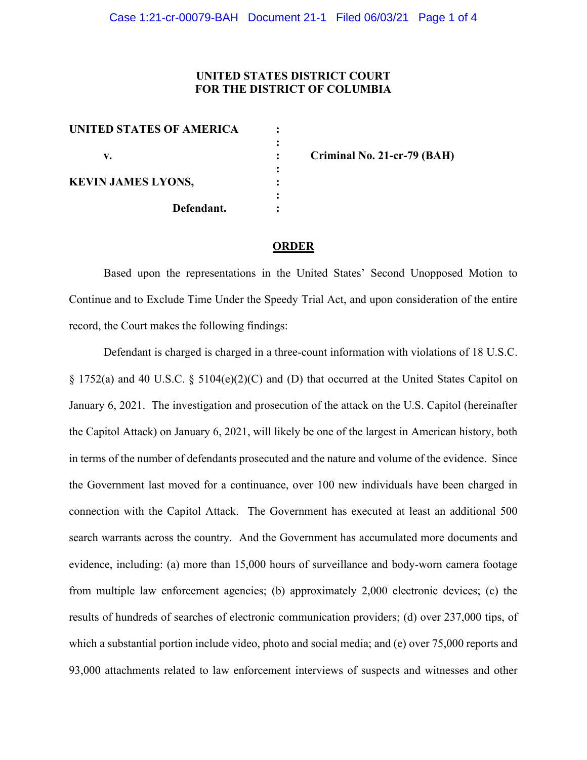# **UNITED STATES DISTRICT COURT FOR THE DISTRICT OF COLUMBIA**

| <b>UNITED STATES OF AMERICA</b> |            |
|---------------------------------|------------|
| v.                              |            |
| <b>KEVIN JAMES LYONS,</b>       |            |
|                                 | Defendant. |

**v. : Criminal No. 21-cr-79 (BAH)**

#### **ORDER**

Based upon the representations in the United States' Second Unopposed Motion to Continue and to Exclude Time Under the Speedy Trial Act, and upon consideration of the entire record, the Court makes the following findings:

Defendant is charged is charged in a three-count information with violations of 18 U.S.C.  $\S 1752(a)$  and 40 U.S.C.  $\S 5104(e)(2)(C)$  and (D) that occurred at the United States Capitol on January 6, 2021. The investigation and prosecution of the attack on the U.S. Capitol (hereinafter the Capitol Attack) on January 6, 2021, will likely be one of the largest in American history, both in terms of the number of defendants prosecuted and the nature and volume of the evidence. Since the Government last moved for a continuance, over 100 new individuals have been charged in connection with the Capitol Attack. The Government has executed at least an additional 500 search warrants across the country. And the Government has accumulated more documents and evidence, including: (a) more than 15,000 hours of surveillance and body-worn camera footage from multiple law enforcement agencies; (b) approximately 2,000 electronic devices; (c) the results of hundreds of searches of electronic communication providers; (d) over 237,000 tips, of which a substantial portion include video, photo and social media; and (e) over 75,000 reports and 93,000 attachments related to law enforcement interviews of suspects and witnesses and other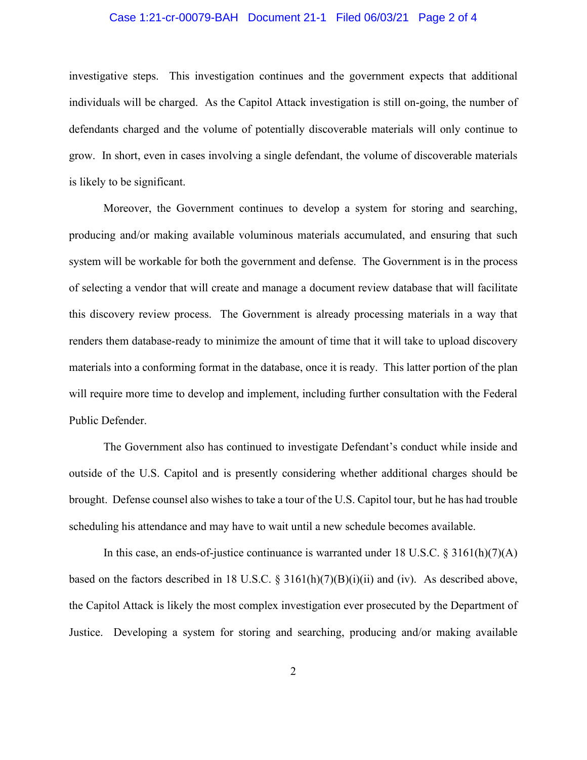### Case 1:21-cr-00079-BAH Document 21-1 Filed 06/03/21 Page 2 of 4

investigative steps. This investigation continues and the government expects that additional individuals will be charged. As the Capitol Attack investigation is still on-going, the number of defendants charged and the volume of potentially discoverable materials will only continue to grow. In short, even in cases involving a single defendant, the volume of discoverable materials is likely to be significant.

Moreover, the Government continues to develop a system for storing and searching, producing and/or making available voluminous materials accumulated, and ensuring that such system will be workable for both the government and defense. The Government is in the process of selecting a vendor that will create and manage a document review database that will facilitate this discovery review process. The Government is already processing materials in a way that renders them database-ready to minimize the amount of time that it will take to upload discovery materials into a conforming format in the database, once it is ready. This latter portion of the plan will require more time to develop and implement, including further consultation with the Federal Public Defender.

The Government also has continued to investigate Defendant's conduct while inside and outside of the U.S. Capitol and is presently considering whether additional charges should be brought. Defense counsel also wishes to take a tour of the U.S. Capitol tour, but he has had trouble scheduling his attendance and may have to wait until a new schedule becomes available.

In this case, an ends-of-justice continuance is warranted under 18 U.S.C. § 3161(h)(7)(A) based on the factors described in 18 U.S.C.  $\S$  3161(h)(7)(B)(i)(ii) and (iv). As described above, the Capitol Attack is likely the most complex investigation ever prosecuted by the Department of Justice. Developing a system for storing and searching, producing and/or making available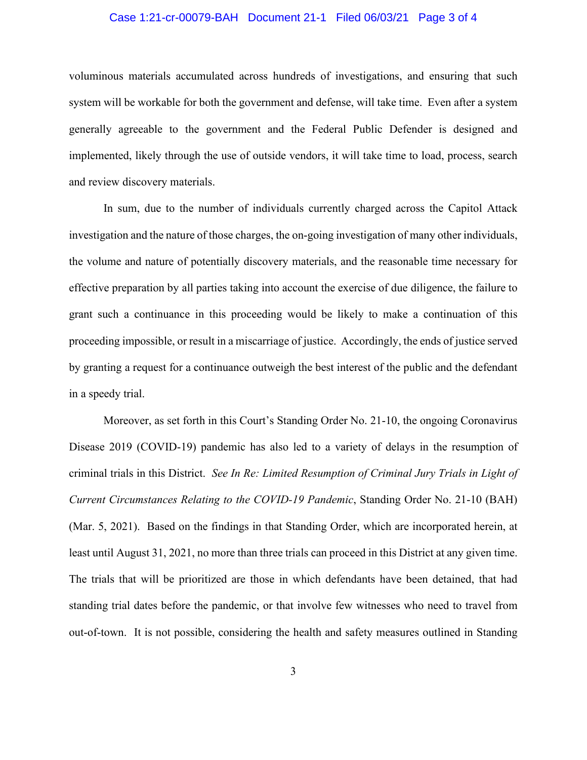### Case 1:21-cr-00079-BAH Document 21-1 Filed 06/03/21 Page 3 of 4

voluminous materials accumulated across hundreds of investigations, and ensuring that such system will be workable for both the government and defense, will take time. Even after a system generally agreeable to the government and the Federal Public Defender is designed and implemented, likely through the use of outside vendors, it will take time to load, process, search and review discovery materials.

In sum, due to the number of individuals currently charged across the Capitol Attack investigation and the nature of those charges, the on-going investigation of many other individuals, the volume and nature of potentially discovery materials, and the reasonable time necessary for effective preparation by all parties taking into account the exercise of due diligence, the failure to grant such a continuance in this proceeding would be likely to make a continuation of this proceeding impossible, or result in a miscarriage of justice. Accordingly, the ends of justice served by granting a request for a continuance outweigh the best interest of the public and the defendant in a speedy trial.

Moreover, as set forth in this Court's Standing Order No. 21-10, the ongoing Coronavirus Disease 2019 (COVID-19) pandemic has also led to a variety of delays in the resumption of criminal trials in this District. *See In Re: Limited Resumption of Criminal Jury Trials in Light of Current Circumstances Relating to the COVID-19 Pandemic*, Standing Order No. 21-10 (BAH) (Mar. 5, 2021). Based on the findings in that Standing Order, which are incorporated herein, at least until August 31, 2021, no more than three trials can proceed in this District at any given time. The trials that will be prioritized are those in which defendants have been detained, that had standing trial dates before the pandemic, or that involve few witnesses who need to travel from out-of-town. It is not possible, considering the health and safety measures outlined in Standing